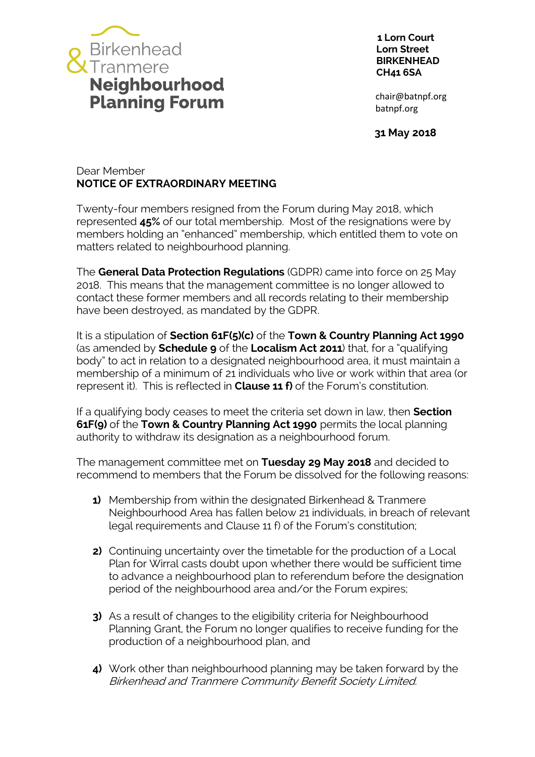

 **1 Lorn Court Lorn Street BIRKENHEAD CH41 6SA**

 **31 May 2018**

## Dear Member **NOTICE OF EXTRAORDINARY MEETING**

Twenty-four members resigned from the Forum during May 2018, which represented **45%** of our total membership. Most of the resignations were by members holding an "enhanced" membership, which entitled them to vote on matters related to neighbourhood planning.

The **General Data Protection Regulations** (GDPR) came into force on 25 May 2018. This means that the management committee is no longer allowed to contact these former members and all records relating to their membership have been destroyed, as mandated by the GDPR.

It is a stipulation of **Section 61F(5)(c)** of the **Town & Country Planning Act 1990** (as amended by **Schedule 9** of the **Localism Act 2011**) that, for a "qualifying body" to act in relation to a designated neighbourhood area, it must maintain a membership of a minimum of 21 individuals who live or work within that area (or represent it). This is reflected in **Clause 11 f)** of the Forum's constitution.

If a qualifying body ceases to meet the criteria set down in law, then **Section 61F(9)** of the **Town & Country Planning Act 1990** permits the local planning authority to withdraw its designation as a neighbourhood forum.

The management committee met on **Tuesday 29 May 2018** and decided to recommend to members that the Forum be dissolved for the following reasons:

- **1)** Membership from within the designated Birkenhead & Tranmere Neighbourhood Area has fallen below 21 individuals, in breach of relevant legal requirements and Clause 11 f) of the Forum's constitution;
- **2)** Continuing uncertainty over the timetable for the production of a Local Plan for Wirral casts doubt upon whether there would be sufficient time to advance a neighbourhood plan to referendum before the designation period of the neighbourhood area and/or the Forum expires;
- **3)** As a result of changes to the eligibility criteria for Neighbourhood Planning Grant, the Forum no longer qualifies to receive funding for the production of a neighbourhood plan, and
- **4)** Work other than neighbourhood planning may be taken forward by the Birkenhead and Tranmere Community Benefit Society Limited.